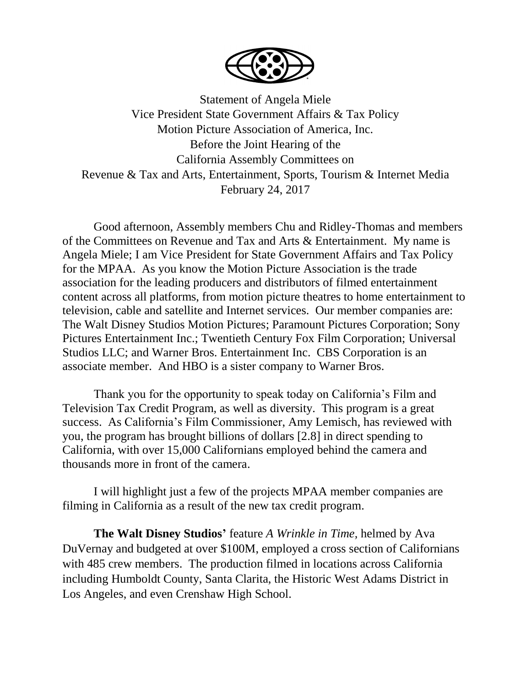

Statement of Angela Miele Vice President State Government Affairs & Tax Policy Motion Picture Association of America, Inc. Before the Joint Hearing of the California Assembly Committees on Revenue & Tax and Arts, Entertainment, Sports, Tourism & Internet Media February 24, 2017

Good afternoon, Assembly members Chu and Ridley-Thomas and members of the Committees on Revenue and Tax and Arts & Entertainment. My name is Angela Miele; I am Vice President for State Government Affairs and Tax Policy for the MPAA. As you know the Motion Picture Association is the trade association for the leading producers and distributors of filmed entertainment content across all platforms, from motion picture theatres to home entertainment to television, cable and satellite and Internet services. Our member companies are: The Walt Disney Studios Motion Pictures; Paramount Pictures Corporation; Sony Pictures Entertainment Inc.; Twentieth Century Fox Film Corporation; Universal Studios LLC; and Warner Bros. Entertainment Inc. CBS Corporation is an associate member. And HBO is a sister company to Warner Bros.

Thank you for the opportunity to speak today on California's Film and Television Tax Credit Program, as well as diversity. This program is a great success. As California's Film Commissioner, Amy Lemisch, has reviewed with you, the program has brought billions of dollars [2.8] in direct spending to California, with over 15,000 Californians employed behind the camera and thousands more in front of the camera.

I will highlight just a few of the projects MPAA member companies are filming in California as a result of the new tax credit program.

**The Walt Disney Studios'** feature *A Wrinkle in Time,* helmed by Ava DuVernay and budgeted at over \$100M, employed a cross section of Californians with 485 crew members. The production filmed in locations across California including Humboldt County, Santa Clarita, the Historic West Adams District in Los Angeles, and even Crenshaw High School.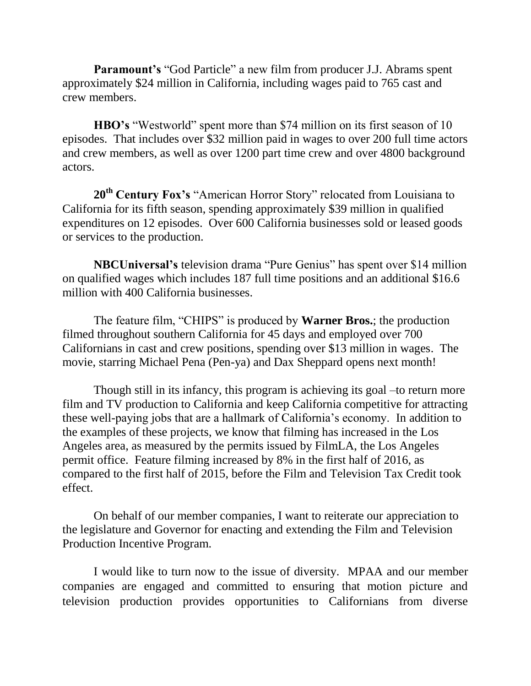**Paramount's** "God Particle" a new film from producer J.J. Abrams spent approximately \$24 million in California, including wages paid to 765 cast and crew members.

**HBO's** "Westworld" spent more than \$74 million on its first season of 10 episodes. That includes over \$32 million paid in wages to over 200 full time actors and crew members, as well as over 1200 part time crew and over 4800 background actors.

**20th Century Fox's** "American Horror Story" relocated from Louisiana to California for its fifth season, spending approximately \$39 million in qualified expenditures on 12 episodes. Over 600 California businesses sold or leased goods or services to the production.

**NBCUniversal's** television drama "Pure Genius" has spent over \$14 million on qualified wages which includes 187 full time positions and an additional \$16.6 million with 400 California businesses.

The feature film, "CHIPS" is produced by **Warner Bros.**; the production filmed throughout southern California for 45 days and employed over 700 Californians in cast and crew positions, spending over \$13 million in wages. The movie, starring Michael Pena (Pen-ya) and Dax Sheppard opens next month!

Though still in its infancy, this program is achieving its goal –to return more film and TV production to California and keep California competitive for attracting these well-paying jobs that are a hallmark of California's economy. In addition to the examples of these projects, we know that filming has increased in the Los Angeles area, as measured by the permits issued by FilmLA, the Los Angeles permit office. Feature filming increased by 8% in the first half of 2016, as compared to the first half of 2015, before the Film and Television Tax Credit took effect.

On behalf of our member companies, I want to reiterate our appreciation to the legislature and Governor for enacting and extending the Film and Television Production Incentive Program.

I would like to turn now to the issue of diversity. MPAA and our member companies are engaged and committed to ensuring that motion picture and television production provides opportunities to Californians from diverse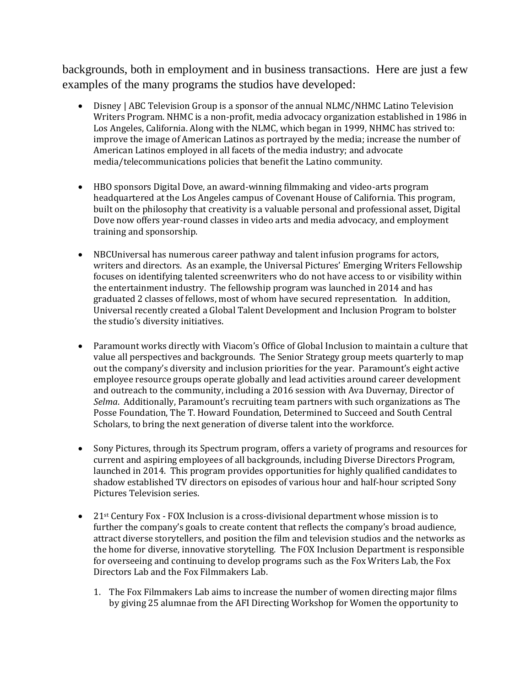backgrounds, both in employment and in business transactions. Here are just a few examples of the many programs the studios have developed:

- Disney | ABC Television Group is a sponsor of the annual NLMC/NHMC Latino Television Writers Program. NHMC is a non-profit, media advocacy organization established in 1986 in Los Angeles, California. Along with the NLMC, which began in 1999, NHMC has strived to: improve the image of American Latinos as portrayed by the media; increase the number of American Latinos employed in all facets of the media industry; and advocate media/telecommunications policies that benefit the Latino community.
- HBO sponsors Digital Dove, an award-winning filmmaking and video-arts program headquartered at the Los Angeles campus of Covenant House of California. This program, built on the philosophy that creativity is a valuable personal and professional asset, Digital Dove now offers year-round classes in video arts and media advocacy, and employment training and sponsorship.
- NBCUniversal has numerous career pathway and talent infusion programs for actors, writers and directors. As an example, the Universal Pictures' Emerging Writers Fellowship focuses on identifying talented screenwriters who do not have access to or visibility within the entertainment industry. The fellowship program was launched in 2014 and has graduated 2 classes of fellows, most of whom have secured representation. In addition, Universal recently created a Global Talent Development and Inclusion Program to bolster the studio's diversity initiatives.
- Paramount works directly with Viacom's Office of Global Inclusion to maintain a culture that value all perspectives and backgrounds. The Senior Strategy group meets quarterly to map out the company's diversity and inclusion priorities for the year. Paramount's eight active employee resource groups operate globally and lead activities around career development and outreach to the community, including a 2016 session with Ava Duvernay, Director of *Selma*. Additionally, Paramount's recruiting team partners with such organizations as The Posse Foundation, The T. Howard Foundation, Determined to Succeed and South Central Scholars, to bring the next generation of diverse talent into the workforce.
- Sony Pictures, through its Spectrum program, offers a variety of programs and resources for current and aspiring employees of all backgrounds, including Diverse Directors Program, launched in 2014. This program provides opportunities for highly qualified candidates to shadow established TV directors on episodes of various hour and half-hour scripted Sony Pictures Television series.
- 21<sup>st</sup> Century Fox FOX Inclusion is a cross-divisional department whose mission is to further the company's goals to create content that reflects the company's broad audience, attract diverse storytellers, and position the film and television studios and the networks as the home for diverse, innovative storytelling. The FOX Inclusion Department is responsible for overseeing and continuing to develop programs such as the Fox Writers Lab, the Fox Directors Lab and the Fox Filmmakers Lab.
	- 1. The Fox Filmmakers Lab aims to increase the number of women directing major films by giving 25 alumnae from the AFI Directing Workshop for Women the opportunity to